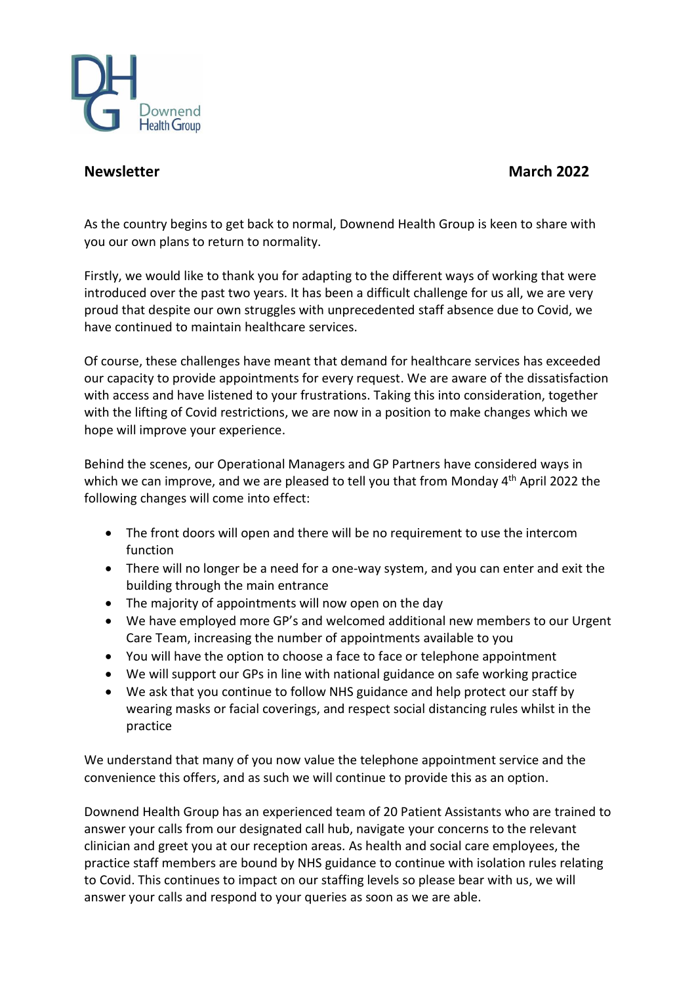

## **Newsletter March 2022**

As the country begins to get back to normal, Downend Health Group is keen to share with you our own plans to return to normality.

Firstly, we would like to thank you for adapting to the different ways of working that were introduced over the past two years. It has been a difficult challenge for us all, we are very proud that despite our own struggles with unprecedented staff absence due to Covid, we have continued to maintain healthcare services.

Of course, these challenges have meant that demand for healthcare services has exceeded our capacity to provide appointments for every request. We are aware of the dissatisfaction with access and have listened to your frustrations. Taking this into consideration, together with the lifting of Covid restrictions, we are now in a position to make changes which we hope will improve your experience.

Behind the scenes, our Operational Managers and GP Partners have considered ways in which we can improve, and we are pleased to tell you that from Monday 4<sup>th</sup> April 2022 the following changes will come into effect:

- The front doors will open and there will be no requirement to use the intercom function
- There will no longer be a need for a one-way system, and you can enter and exit the building through the main entrance
- The majority of appointments will now open on the day
- We have employed more GP's and welcomed additional new members to our Urgent Care Team, increasing the number of appointments available to you
- You will have the option to choose a face to face or telephone appointment
- We will support our GPs in line with national guidance on safe working practice
- We ask that you continue to follow NHS guidance and help protect our staff by wearing masks or facial coverings, and respect social distancing rules whilst in the practice

We understand that many of you now value the telephone appointment service and the convenience this offers, and as such we will continue to provide this as an option.

Downend Health Group has an experienced team of 20 Patient Assistants who are trained to answer your calls from our designated call hub, navigate your concerns to the relevant clinician and greet you at our reception areas. As health and social care employees, the practice staff members are bound by NHS guidance to continue with isolation rules relating to Covid. This continues to impact on our staffing levels so please bear with us, we will answer your calls and respond to your queries as soon as we are able.